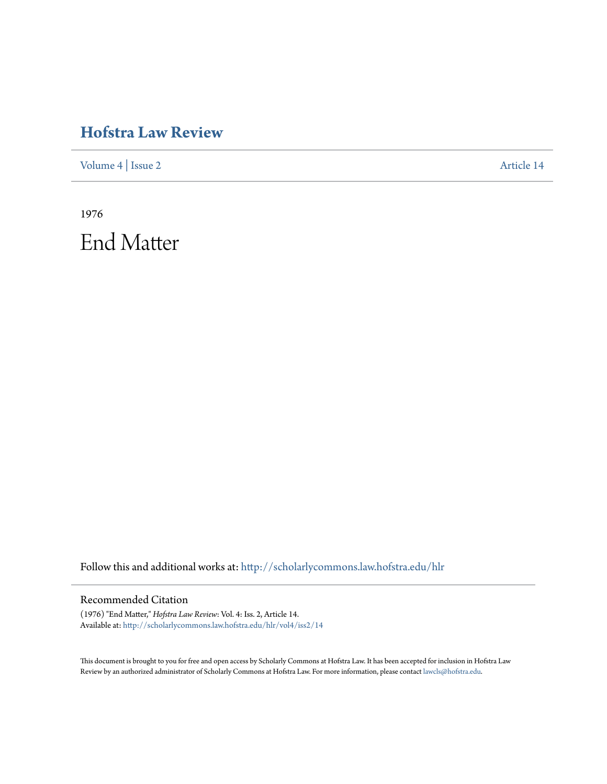## **[Hofstra Law Review](http://scholarlycommons.law.hofstra.edu/hlr?utm_source=scholarlycommons.law.hofstra.edu%2Fhlr%2Fvol4%2Fiss2%2F14&utm_medium=PDF&utm_campaign=PDFCoverPages)**

[Volume 4](http://scholarlycommons.law.hofstra.edu/hlr/vol4?utm_source=scholarlycommons.law.hofstra.edu%2Fhlr%2Fvol4%2Fiss2%2F14&utm_medium=PDF&utm_campaign=PDFCoverPages) | [Issue 2](http://scholarlycommons.law.hofstra.edu/hlr/vol4/iss2?utm_source=scholarlycommons.law.hofstra.edu%2Fhlr%2Fvol4%2Fiss2%2F14&utm_medium=PDF&utm_campaign=PDFCoverPages) [Article 14](http://scholarlycommons.law.hofstra.edu/hlr/vol4/iss2/14?utm_source=scholarlycommons.law.hofstra.edu%2Fhlr%2Fvol4%2Fiss2%2F14&utm_medium=PDF&utm_campaign=PDFCoverPages)

1976 End Matter

Follow this and additional works at: [http://scholarlycommons.law.hofstra.edu/hlr](http://scholarlycommons.law.hofstra.edu/hlr?utm_source=scholarlycommons.law.hofstra.edu%2Fhlr%2Fvol4%2Fiss2%2F14&utm_medium=PDF&utm_campaign=PDFCoverPages)

## Recommended Citation

(1976) "End Matter," *Hofstra Law Review*: Vol. 4: Iss. 2, Article 14. Available at: [http://scholarlycommons.law.hofstra.edu/hlr/vol4/iss2/14](http://scholarlycommons.law.hofstra.edu/hlr/vol4/iss2/14?utm_source=scholarlycommons.law.hofstra.edu%2Fhlr%2Fvol4%2Fiss2%2F14&utm_medium=PDF&utm_campaign=PDFCoverPages)

This document is brought to you for free and open access by Scholarly Commons at Hofstra Law. It has been accepted for inclusion in Hofstra Law Review by an authorized administrator of Scholarly Commons at Hofstra Law. For more information, please contact [lawcls@hofstra.edu](mailto:lawcls@hofstra.edu).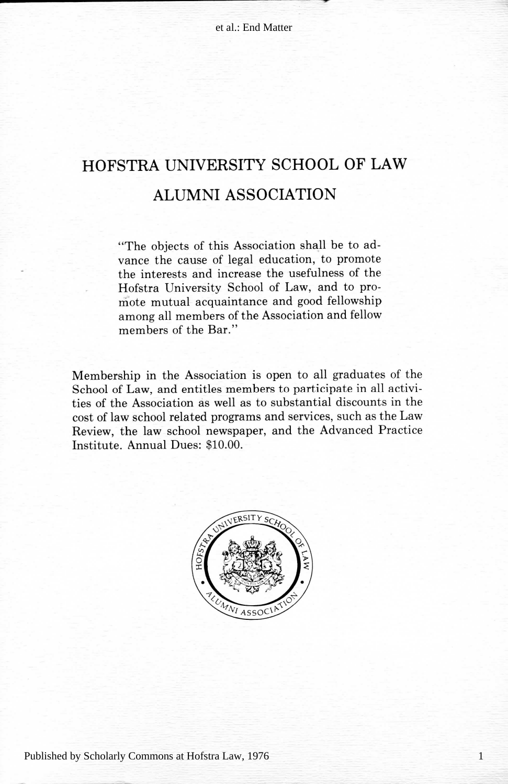## HOFSTRA UNIVERSITY SCHOOL OF LAW **ALUMNI ASSOCIATION**

"The objects of this Association shall be to advance the cause of legal education, to promote the interests and increase the usefulness of the Hofstra University School of Law, and to promote mutual acquaintance and good fellowship among all members of the Association and fellow members of the Bar."

Membership in the Association is open to all graduates of the School of Law, and entitles members to participate in all activities of the Association as well as to substantial discounts in the cost of law school related programs and services, such as the Law Review, the law school newspaper, and the Advanced Practice Institute. Annual Dues: \$10.00.



1

Published by Scholarly Commons at Hofstra Law, 1976